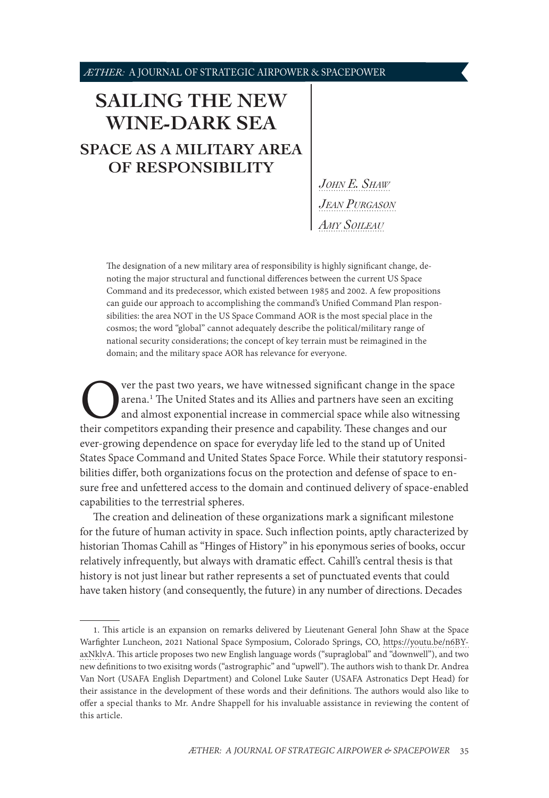# **[SAILING THE NEW](#page-0-0)  [WINE-DARK SEA](#page-0-0) [SPACE AS A MILITARY AREA](#page-0-0)  [OF RESPONSIBILITY](#page-0-0)**

*[John E. Shaw](#page-0-0) [Jean Purgason](#page-0-0) [Amy Soileau](#page-0-0)*

The designation of a new military area of responsibility is highly significant change, denoting the major structural and functional differences between the current US Space Command and its predecessor, which existed between 1985 and 2002. A few propositions can guide our approach to accomplishing the command's Unified Command Plan responsibilities: the area NOT in the US Space Command AOR is the most special place in the cosmos; the word "global" cannot adequately describe the political/military range of national security considerations; the concept of key terrain must be reimagined in the domain; and the military space AOR has relevance for everyone.

Over the past two years, we have witnessed significant change in the space arena.<sup>1</sup> The United States and its Allies and partners have seen an exciting and almost exponential increase in commercial space while also witnes arena.<sup>1</sup> The United States and its Allies and partners have seen an exciting and almost exponential increase in commercial space while also witnessing ever-growing dependence on space for everyday life led to the stand up of United States Space Command and United States Space Force. While their statutory responsibilities differ, both organizations focus on the protection and defense of space to ensure free and unfettered access to the domain and continued delivery of space-enabled capabilities to the terrestrial spheres.

The creation and delineation of these organizations mark a significant milestone for the future of human activity in space. Such inflection points, aptly characterized by historian Thomas Cahill as "Hinges of History" in his eponymous series of books, occur relatively infrequently, but always with dramatic effect. Cahill's central thesis is that history is not just linear but rather represents a set of punctuated events that could have taken history (and consequently, the future) in any number of directions. Decades

<span id="page-0-0"></span><sup>1.</sup> This article is an expansion on remarks delivered by Lieutenant General John Shaw at the Space Warfighter Luncheon, 2021 National Space Symposium, Colorado Springs, CO, [https://youtu.be/n6BY](https://youtu.be/n6BYaxNklvA)[axNklvA.](https://youtu.be/n6BYaxNklvA) This article proposes two new English language words ("supraglobal" and "downwell"), and two new definitions to two exisitng words ("astrographic" and "upwell"). The authors wish to thank Dr. Andrea Van Nort (USAFA English Department) and Colonel Luke Sauter (USAFA Astronatics Dept Head) for their assistance in the development of these words and their definitions. The authors would also like to offer a special thanks to Mr. Andre Shappell for his invaluable assistance in reviewing the content of this article.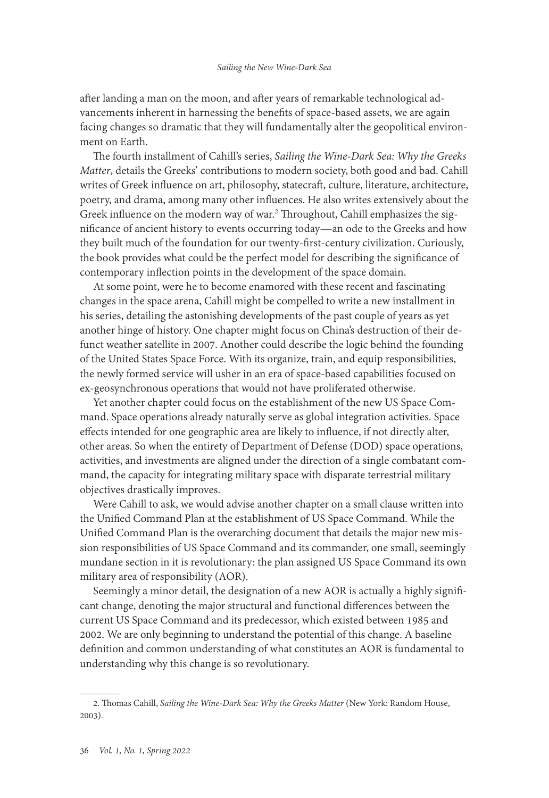after landing a man on the moon, and after years of remarkable technological advancements inherent in harnessing the benefits of space-based assets, we are again facing changes so dramatic that they will fundamentally alter the geopolitical environment on Earth.

The fourth installment of Cahill's series, *Sailing the Wine-Dark Sea: Why the Greeks Matter*, details the Greeks' contributions to modern society, both good and bad. Cahill writes of Greek influence on art, philosophy, statecraft, culture, literature, architecture, poetry, and drama, among many other influences. He also writes extensively about the Greek influence on the modern way of war.<sup>2</sup> Throughout, Cahill emphasizes the significance of ancient history to events occurring today—an ode to the Greeks and how they built much of the foundation for our twenty-first-century civilization. Curiously, the book provides what could be the perfect model for describing the significance of contemporary inflection points in the development of the space domain.

At some point, were he to become enamored with these recent and fascinating changes in the space arena, Cahill might be compelled to write a new installment in his series, detailing the astonishing developments of the past couple of years as yet another hinge of history. One chapter might focus on China's destruction of their defunct weather satellite in 2007. Another could describe the logic behind the founding of the United States Space Force. With its organize, train, and equip responsibilities, the newly formed service will usher in an era of space-based capabilities focused on ex-geosynchronous operations that would not have proliferated otherwise.

Yet another chapter could focus on the establishment of the new US Space Command. Space operations already naturally serve as global integration activities. Space effects intended for one geographic area are likely to influence, if not directly alter, other areas. So when the entirety of Department of Defense (DOD) space operations, activities, and investments are aligned under the direction of a single combatant command, the capacity for integrating military space with disparate terrestrial military objectives drastically improves.

Were Cahill to ask, we would advise another chapter on a small clause written into the Unified Command Plan at the establishment of US Space Command. While the Unified Command Plan is the overarching document that details the major new mission responsibilities of US Space Command and its commander, one small, seemingly mundane section in it is revolutionary: the plan assigned US Space Command its own military area of responsibility (AOR).

Seemingly a minor detail, the designation of a new AOR is actually a highly significant change, denoting the major structural and functional differences between the current US Space Command and its predecessor, which existed between 1985 and 2002. We are only beginning to understand the potential of this change. A baseline definition and common understanding of what constitutes an AOR is fundamental to understanding why this change is so revolutionary.

<sup>2.</sup> Thomas Cahill, *Sailing the Wine-Dark Sea: Why the Greeks Matter* (New York: Random House, 2003).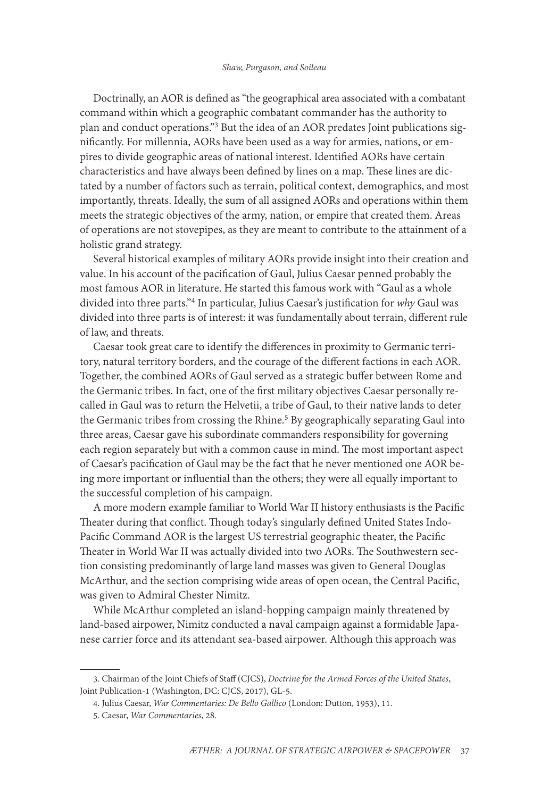Doctrinally, an AOR is defined as "the geographical area associated with a combatant command within which a geographic combatant commander has the authority to plan and conduct operations."3 But the idea of an AOR predates Joint publications significantly. For millennia, AORs have been used as a way for armies, nations, or empires to divide geographic areas of national interest. Identified AORs have certain characteristics and have always been defined by lines on a map. These lines are dictated by a number of factors such as terrain, political context, demographics, and most importantly, threats. Ideally, the sum of all assigned AORs and operations within them meets the strategic objectives of the army, nation, or empire that created them. Areas of operations are not stovepipes, as they are meant to contribute to the attainment of a holistic grand strategy.

Several historical examples of military AORs provide insight into their creation and value. In his account of the pacification of Gaul, Julius Caesar penned probably the most famous AOR in literature. He started this famous work with "Gaul as a whole divided into three parts."4 In particular, Julius Caesar's justification for *why* Gaul was divided into three parts is of interest: it was fundamentally about terrain, different rule of law, and threats.

Caesar took great care to identify the differences in proximity to Germanic territory, natural territory borders, and the courage of the different factions in each AOR. Together, the combined AORs of Gaul served as a strategic buffer between Rome and the Germanic tribes. In fact, one of the first military objectives Caesar personally recalled in Gaul was to return the Helvetii, a tribe of Gaul, to their native lands to deter the Germanic tribes from crossing the Rhine.<sup>5</sup> By geographically separating Gaul into three areas, Caesar gave his subordinate commanders responsibility for governing each region separately but with a common cause in mind. The most important aspect of Caesar's pacification of Gaul may be the fact that he never mentioned one AOR being more important or influential than the others; they were all equally important to the successful completion of his campaign.

A more modern example familiar to World War II history enthusiasts is the Pacific Theater during that conflict. Though today's singularly defined United States Indo-Pacific Command AOR is the largest US terrestrial geographic theater, the Pacific Theater in World War II was actually divided into two AORs. The Southwestern section consisting predominantly of large land masses was given to General Douglas McArthur, and the section comprising wide areas of open ocean, the Central Pacific, was given to Admiral Chester Nimitz.

While McArthur completed an island-hopping campaign mainly threatened by land-based airpower, Nimitz conducted a naval campaign against a formidable Japanese carrier force and its attendant sea-based airpower. Although this approach was

<sup>3.</sup> Chairman of the Joint Chiefs of Staff (CJCS), *Doctrine for the Armed Forces of the United States*, Joint Publication-1 (Washington, DC: CJCS, 2017), GL-5.

<sup>4.</sup> Julius Caesar, *War Commentaries: De Bello Gallico* (London: Dutton, 1953), 11.

<sup>5.</sup> Caesar, *War Commentaries*, 28.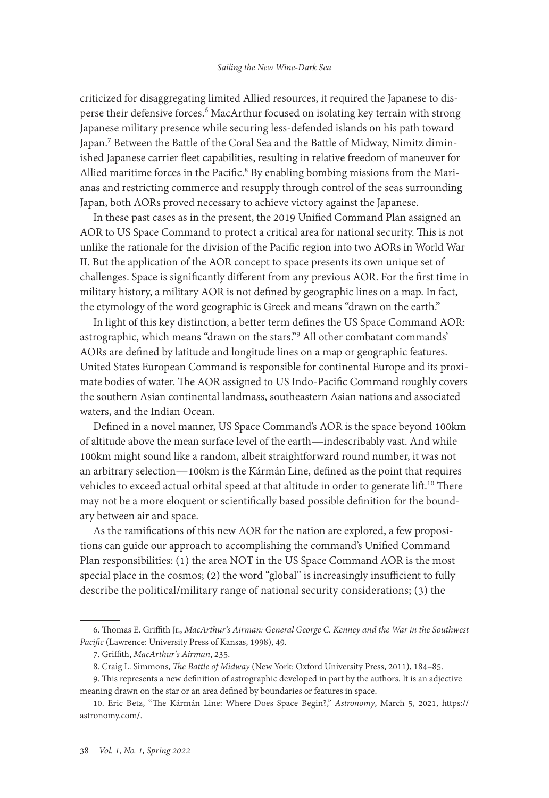criticized for disaggregating limited Allied resources, it required the Japanese to disperse their defensive forces.6 MacArthur focused on isolating key terrain with strong Japanese military presence while securing less-defended islands on his path toward Japan.7 Between the Battle of the Coral Sea and the Battle of Midway, Nimitz diminished Japanese carrier fleet capabilities, resulting in relative freedom of maneuver for Allied maritime forces in the Pacific.<sup>8</sup> By enabling bombing missions from the Marianas and restricting commerce and resupply through control of the seas surrounding Japan, both AORs proved necessary to achieve victory against the Japanese.

In these past cases as in the present, the 2019 Unified Command Plan assigned an AOR to US Space Command to protect a critical area for national security. This is not unlike the rationale for the division of the Pacific region into two AORs in World War II. But the application of the AOR concept to space presents its own unique set of challenges. Space is significantly different from any previous AOR. For the first time in military history, a military AOR is not defined by geographic lines on a map. In fact, the etymology of the word geographic is Greek and means "drawn on the earth."

In light of this key distinction, a better term defines the US Space Command AOR: astrographic, which means "drawn on the stars."9 All other combatant commands' AORs are defined by latitude and longitude lines on a map or geographic features. United States European Command is responsible for continental Europe and its proximate bodies of water. The AOR assigned to US Indo-Pacific Command roughly covers the southern Asian continental landmass, southeastern Asian nations and associated waters, and the Indian Ocean.

Defined in a novel manner, US Space Command's AOR is the space beyond 100km of altitude above the mean surface level of the earth—indescribably vast. And while 100km might sound like a random, albeit straightforward round number, it was not an arbitrary selection—100km is the Kármán Line, defined as the point that requires vehicles to exceed actual orbital speed at that altitude in order to generate lift.<sup>10</sup> There may not be a more eloquent or scientifically based possible definition for the boundary between air and space.

As the ramifications of this new AOR for the nation are explored, a few propositions can guide our approach to accomplishing the command's Unified Command Plan responsibilities: (1) the area NOT in the US Space Command AOR is the most special place in the cosmos; (2) the word "global" is increasingly insufficient to fully describe the political/military range of national security considerations; (3) the

<sup>6.</sup> Thomas E. Griffith Jr., *MacArthur's Airman: General George C. Kenney and the War in the Southwest Pacific* (Lawrence: University Press of Kansas, 1998), 49.

<sup>7.</sup> Griffith, *MacArthur's Airman*, 235.

<sup>8.</sup> Craig L. Simmons, *The Battle of Midway* (New York: Oxford University Press, 2011), 184–85.

<sup>9.</sup> This represents a new definition of astrographic developed in part by the authors. It is an adjective meaning drawn on the star or an area defined by boundaries or features in space.

<sup>10.</sup> Eric Betz, "The Kármán Line: Where Does Space Begin?," *Astronomy*, March 5, 2021, [https://](https://astronomy.com/news/2021/03/the-krmn-line-where-does-space-begin) [astronomy.com/.](https://astronomy.com/news/2021/03/the-krmn-line-where-does-space-begin)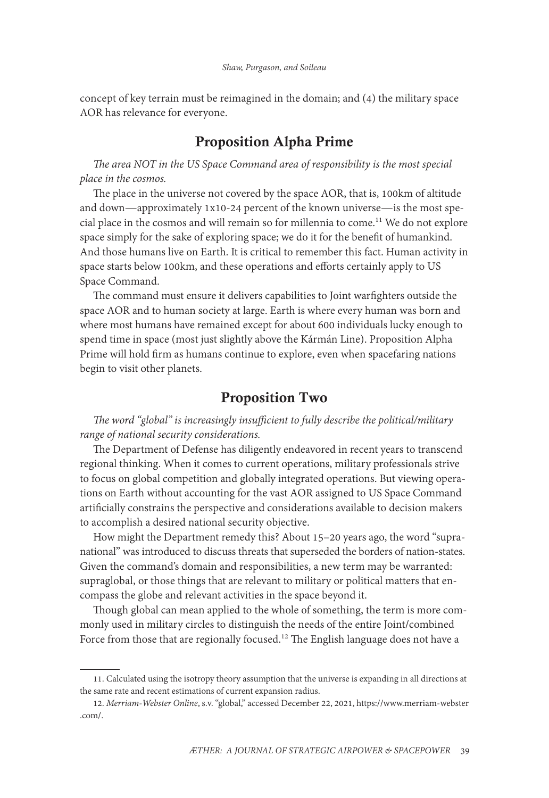concept of key terrain must be reimagined in the domain; and (4) the military space AOR has relevance for everyone.

## Proposition Alpha Prime

*The area NOT in the US Space Command area of responsibility is the most special place in the cosmos.*

The place in the universe not covered by the space AOR, that is, 100km of altitude and down—approximately 1x10-24 percent of the known universe—is the most special place in the cosmos and will remain so for millennia to come.<sup>11</sup> We do not explore space simply for the sake of exploring space; we do it for the benefit of humankind. And those humans live on Earth. It is critical to remember this fact. Human activity in space starts below 100km, and these operations and efforts certainly apply to US Space Command.

The command must ensure it delivers capabilities to Joint warfighters outside the space AOR and to human society at large. Earth is where every human was born and where most humans have remained except for about 600 individuals lucky enough to spend time in space (most just slightly above the Kármán Line). Proposition Alpha Prime will hold firm as humans continue to explore, even when spacefaring nations begin to visit other planets.

### Proposition Two

*The word "global" is increasingly insufficient to fully describe the political/military range of national security considerations.*

The Department of Defense has diligently endeavored in recent years to transcend regional thinking. When it comes to current operations, military professionals strive to focus on global competition and globally integrated operations. But viewing operations on Earth without accounting for the vast AOR assigned to US Space Command artificially constrains the perspective and considerations available to decision makers to accomplish a desired national security objective.

How might the Department remedy this? About 15–20 years ago, the word "supranational" was introduced to discuss threats that superseded the borders of nation-states. Given the command's domain and responsibilities, a new term may be warranted: supraglobal, or those things that are relevant to military or political matters that encompass the globe and relevant activities in the space beyond it.

Though global can mean applied to the whole of something, the term is more commonly used in military circles to distinguish the needs of the entire Joint/combined Force from those that are regionally focused.<sup>12</sup> The English language does not have a

<sup>11.</sup> Calculated using the isotropy theory assumption that the universe is expanding in all directions at the same rate and recent estimations of current expansion radius.

<sup>12.</sup> *Merriam-Webster Online*, s.v. "global," accessed December 22, 2021, [https://www.merriam-webster](https://www.merriam-webster.com/dictionary/global) [.com/](https://www.merriam-webster.com/dictionary/global).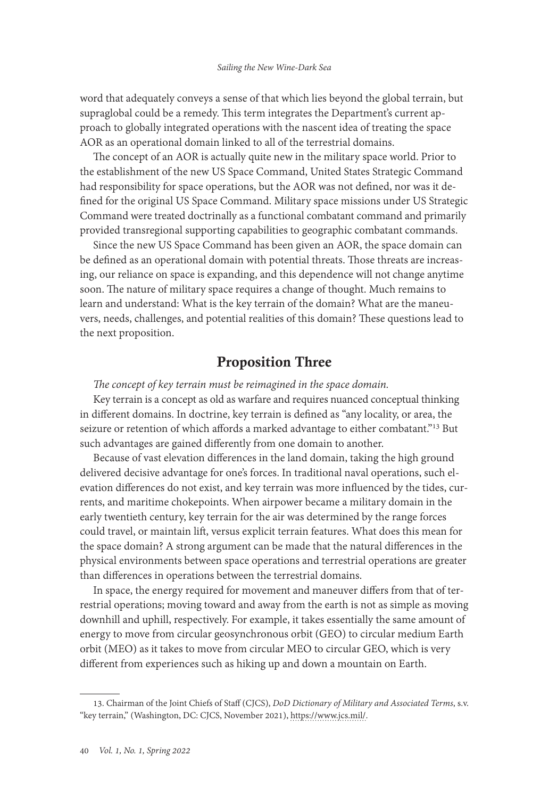word that adequately conveys a sense of that which lies beyond the global terrain, but supraglobal could be a remedy. This term integrates the Department's current approach to globally integrated operations with the nascent idea of treating the space AOR as an operational domain linked to all of the terrestrial domains.

The concept of an AOR is actually quite new in the military space world. Prior to the establishment of the new US Space Command, United States Strategic Command had responsibility for space operations, but the AOR was not defined, nor was it defined for the original US Space Command. Military space missions under US Strategic Command were treated doctrinally as a functional combatant command and primarily provided transregional supporting capabilities to geographic combatant commands.

Since the new US Space Command has been given an AOR, the space domain can be defined as an operational domain with potential threats. Those threats are increasing, our reliance on space is expanding, and this dependence will not change anytime soon. The nature of military space requires a change of thought. Much remains to learn and understand: What is the key terrain of the domain? What are the maneuvers, needs, challenges, and potential realities of this domain? These questions lead to the next proposition.

### Proposition Three

*The concept of key terrain must be reimagined in the space domain.*

Key terrain is a concept as old as warfare and requires nuanced conceptual thinking in different domains. In doctrine, key terrain is defined as "any locality, or area, the seizure or retention of which affords a marked advantage to either combatant."<sup>13</sup> But such advantages are gained differently from one domain to another.

Because of vast elevation differences in the land domain, taking the high ground delivered decisive advantage for one's forces. In traditional naval operations, such elevation differences do not exist, and key terrain was more influenced by the tides, currents, and maritime chokepoints. When airpower became a military domain in the early twentieth century, key terrain for the air was determined by the range forces could travel, or maintain lift, versus explicit terrain features. What does this mean for the space domain? A strong argument can be made that the natural differences in the physical environments between space operations and terrestrial operations are greater than differences in operations between the terrestrial domains.

In space, the energy required for movement and maneuver differs from that of terrestrial operations; moving toward and away from the earth is not as simple as moving downhill and uphill, respectively. For example, it takes essentially the same amount of energy to move from circular geosynchronous orbit (GEO) to circular medium Earth orbit (MEO) as it takes to move from circular MEO to circular GEO, which is very different from experiences such as hiking up and down a mountain on Earth.

<sup>13.</sup> Chairman of the Joint Chiefs of Staff (CJCS), *DoD Dictionary of Military and Associated Terms*, s.v. "key terrain,"  (Washington, DC: CJCS, November 2021), [https://www.jcs.mil/](https://www.jcs.mil/Portals/36/Documents/Doctrine/pubs/dictionary.pdf).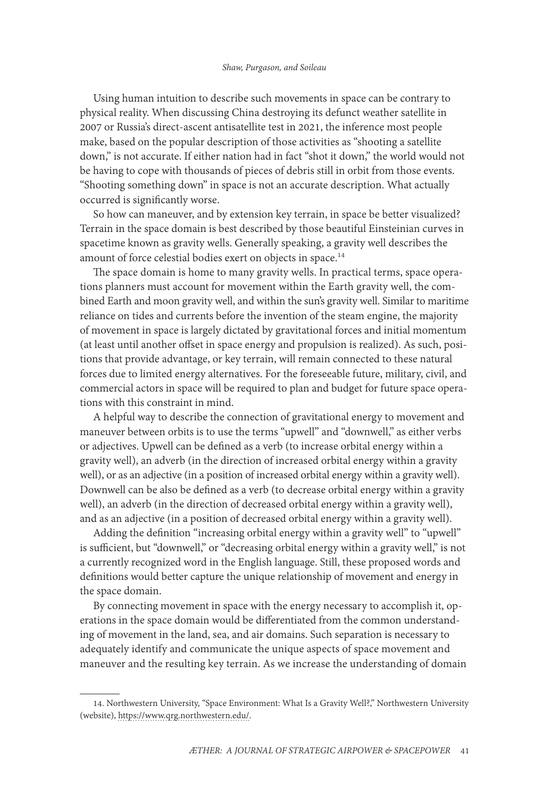Using human intuition to describe such movements in space can be contrary to physical reality. When discussing China destroying its defunct weather satellite in 2007 or Russia's direct-ascent antisatellite test in 2021, the inference most people make, based on the popular description of those activities as "shooting a satellite down," is not accurate. If either nation had in fact "shot it down," the world would not be having to cope with thousands of pieces of debris still in orbit from those events. "Shooting something down" in space is not an accurate description. What actually occurred is significantly worse.

So how can maneuver, and by extension key terrain, in space be better visualized? Terrain in the space domain is best described by those beautiful Einsteinian curves in spacetime known as gravity wells. Generally speaking, a gravity well describes the amount of force celestial bodies exert on objects in space.<sup>14</sup>

The space domain is home to many gravity wells. In practical terms, space operations planners must account for movement within the Earth gravity well, the combined Earth and moon gravity well, and within the sun's gravity well. Similar to maritime reliance on tides and currents before the invention of the steam engine, the majority of movement in space is largely dictated by gravitational forces and initial momentum (at least until another offset in space energy and propulsion is realized). As such, positions that provide advantage, or key terrain, will remain connected to these natural forces due to limited energy alternatives. For the foreseeable future, military, civil, and commercial actors in space will be required to plan and budget for future space operations with this constraint in mind.

A helpful way to describe the connection of gravitational energy to movement and maneuver between orbits is to use the terms "upwell" and "downwell," as either verbs or adjectives. Upwell can be defined as a verb (to increase orbital energy within a gravity well), an adverb (in the direction of increased orbital energy within a gravity well), or as an adjective (in a position of increased orbital energy within a gravity well). Downwell can be also be defined as a verb (to decrease orbital energy within a gravity well), an adverb (in the direction of decreased orbital energy within a gravity well), and as an adjective (in a position of decreased orbital energy within a gravity well).

Adding the definition "increasing orbital energy within a gravity well" to "upwell" is sufficient, but "downwell," or "decreasing orbital energy within a gravity well," is not a currently recognized word in the English language. Still, these proposed words and definitions would better capture the unique relationship of movement and energy in the space domain.

By connecting movement in space with the energy necessary to accomplish it, operations in the space domain would be differentiated from the common understanding of movement in the land, sea, and air domains. Such separation is necessary to adequately identify and communicate the unique aspects of space movement and maneuver and the resulting key terrain. As we increase the understanding of domain

<sup>14.</sup> Northwestern University, "Space Environment: What Is a Gravity Well?," Northwestern University (website), [https://www.qrg.northwestern.edu/.](https://www.qrg.northwestern.edu/projects/vss/docs/space-environment/3-whats-a-gravity-well.html)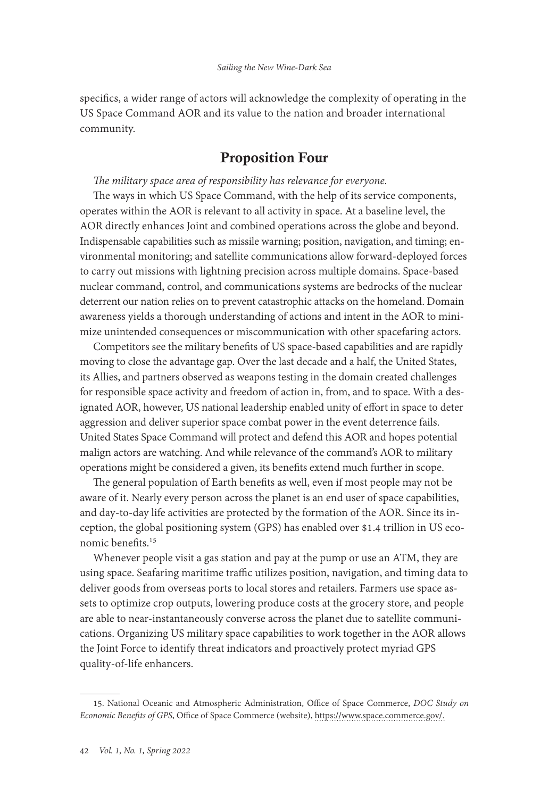specifics, a wider range of actors will acknowledge the complexity of operating in the US Space Command AOR and its value to the nation and broader international community.

### Proposition Four

*The military space area of responsibility has relevance for everyone.*

The ways in which US Space Command, with the help of its service components, operates within the AOR is relevant to all activity in space. At a baseline level, the AOR directly enhances Joint and combined operations across the globe and beyond. Indispensable capabilities such as missile warning; position, navigation, and timing; environmental monitoring; and satellite communications allow forward-deployed forces to carry out missions with lightning precision across multiple domains. Space-based nuclear command, control, and communications systems are bedrocks of the nuclear deterrent our nation relies on to prevent catastrophic attacks on the homeland. Domain awareness yields a thorough understanding of actions and intent in the AOR to minimize unintended consequences or miscommunication with other spacefaring actors.

Competitors see the military benefits of US space-based capabilities and are rapidly moving to close the advantage gap. Over the last decade and a half, the United States, its Allies, and partners observed as weapons testing in the domain created challenges for responsible space activity and freedom of action in, from, and to space. With a designated AOR, however, US national leadership enabled unity of effort in space to deter aggression and deliver superior space combat power in the event deterrence fails. United States Space Command will protect and defend this AOR and hopes potential malign actors are watching. And while relevance of the command's AOR to military operations might be considered a given, its benefits extend much further in scope.

The general population of Earth benefits as well, even if most people may not be aware of it. Nearly every person across the planet is an end user of space capabilities, and day-to-day life activities are protected by the formation of the AOR. Since its inception, the global positioning system (GPS) has enabled over \$1.4 trillion in US economic benefits.15

Whenever people visit a gas station and pay at the pump or use an ATM, they are using space. Seafaring maritime traffic utilizes position, navigation, and timing data to deliver goods from overseas ports to local stores and retailers. Farmers use space assets to optimize crop outputs, lowering produce costs at the grocery store, and people are able to near-instantaneously converse across the planet due to satellite communications. Organizing US military space capabilities to work together in the AOR allows the Joint Force to identify threat indicators and proactively protect myriad GPS quality-of-life enhancers.

<sup>15.</sup> National Oceanic and Atmospheric Administration, Office of Space Commerce, *DOC Study on Economic Benefits of GPS*, Office of Space Commerce (website), [https://www.space.commerce.gov/](https://www.space.commerce.gov/doc-study-on-economic-benefits-of-gps).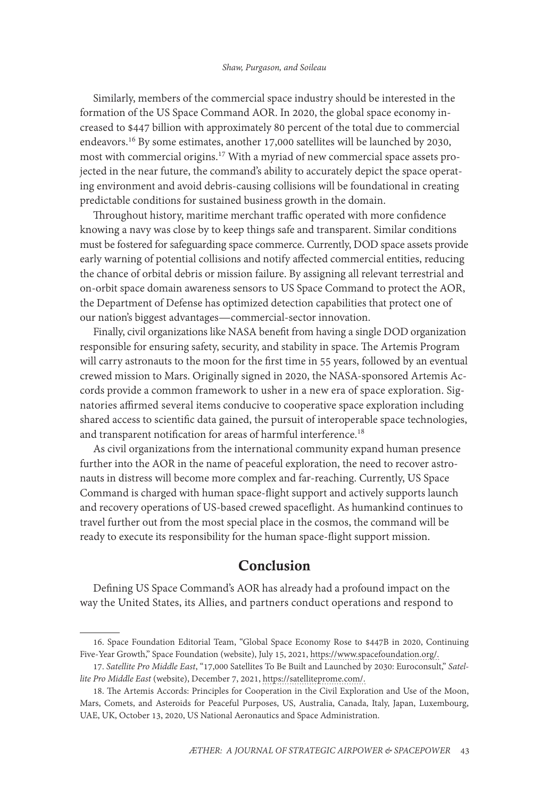Similarly, members of the commercial space industry should be interested in the formation of the US Space Command AOR. In 2020, the global space economy increased to \$447 billion with approximately 80 percent of the total due to commercial endeavors.16 By some estimates, another 17,000 satellites will be launched by 2030, most with commercial origins.<sup>17</sup> With a myriad of new commercial space assets projected in the near future, the command's ability to accurately depict the space operating environment and avoid debris-causing collisions will be foundational in creating predictable conditions for sustained business growth in the domain.

Throughout history, maritime merchant traffic operated with more confidence knowing a navy was close by to keep things safe and transparent. Similar conditions must be fostered for safeguarding space commerce. Currently, DOD space assets provide early warning of potential collisions and notify affected commercial entities, reducing the chance of orbital debris or mission failure. By assigning all relevant terrestrial and on-orbit space domain awareness sensors to US Space Command to protect the AOR, the Department of Defense has optimized detection capabilities that protect one of our nation's biggest advantages—commercial-sector innovation.

Finally, civil organizations like NASA benefit from having a single DOD organization responsible for ensuring safety, security, and stability in space. The Artemis Program will carry astronauts to the moon for the first time in 55 years, followed by an eventual crewed mission to Mars. Originally signed in 2020, the NASA-sponsored Artemis Accords provide a common framework to usher in a new era of space exploration. Signatories affirmed several items conducive to cooperative space exploration including shared access to scientific data gained, the pursuit of interoperable space technologies, and transparent notification for areas of harmful interference.<sup>18</sup>

As civil organizations from the international community expand human presence further into the AOR in the name of peaceful exploration, the need to recover astronauts in distress will become more complex and far-reaching. Currently, US Space Command is charged with human space-flight support and actively supports launch and recovery operations of US-based crewed spaceflight. As humankind continues to travel further out from the most special place in the cosmos, the command will be ready to execute its responsibility for the human space-flight support mission.

### Conclusion

Defining US Space Command's AOR has already had a profound impact on the way the United States, its Allies, and partners conduct operations and respond to

<sup>16.</sup> Space Foundation Editorial Team, "Global Space Economy Rose to \$447B in 2020, Continuing Five-Year Growth," Space Foundation (website), July 15, 2021, [https://www.spacefoundation.org/](https://www.spacefoundation.org/2021/07/15/global-space-economy-rose-to-447b-in-2020-continuing-five-year-growth).

<sup>17.</sup> *Satellite Pro Middle East*, "17,000 Satellites To Be Built and Launched by 2030: Euroconsult," *Satellite Pro Middle East* (website), December 7, 2021, [https://satelliteprome.com/.](https://satelliteprome.com/news/17000-satellites-to-be-built-and-launched-by-2030-euroconsult)

<sup>18.</sup> The Artemis Accords: Principles for Cooperation in the Civil Exploration and Use of the Moon, Mars, Comets, and Asteroids for Peaceful Purposes, US, Australia, Canada, Italy, Japan, Luxembourg, UAE, UK, October 13, 2020, US National Aeronautics and Space Administration.